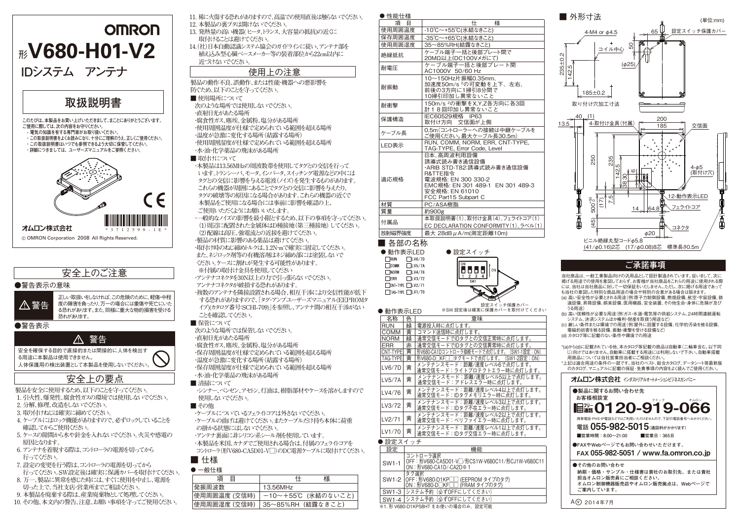

# 安全上のご注意

### ●警告表示の意味

正しい取扱いをしなければ、この危険のために、軽傷・中程 度の障害を負ったり、万一の場合には重傷や死亡にいた る恐れがあります。また、同様に重大な物的損害を受ける 恐れがあります。 警告

●警告表示



る用途に本製品は使用できません。 人体保護用の検出装置として本製品を使用しないでください。

# 安全上の要点

**製品を安全に使用するため、以下のことを守ってください。** 

- **1. 引火性、爆発性、腐食性ガスの環境では使用しないでください。**
- **2. 分解、修理、改造をしないでください。**
- **3. 取り付けねじは確実に締めてください。**
- **4. ケーブルにはロック機能がありますので、必ずロックしていることを 確認してからご使用ください。**
- **5. ケースの隙間から水や針金を入れないでください。火災や感電の 原因となります。**
- **6. アンテナを着脱する際は、コントローラの電源を切ってから 行ってください。**
- **7. 設定の変更を行う際は、コントローラの電源を切ってから 行ってください。SW設定後は確実に保護カバーを取付けてください。**
- **8. 万一、製品に異常を感じた時には、すぐに使用を中止し、電源を 切った上で、当社支店・営業所までご相談ください。**
- **9. 本製品を廃棄する際は、産業廃棄物として処理してください。**
- **10. その他、本文内の警告、注意、お願い事項を守ってご使用ください。**

**11. 稀に火傷する恐れがありますので、高温での使用直後は触らないでください。 12. 本製品の裏ブタは開けないでください。** 

**13. 発熱量の高い機器( ヒータ、トランス、大容量の抵抗)の近くに 取付けることは避けてください。** 

14. (社)日本自動認識システム協会のガイドラインに従い、アンテナ部を **植え込み型心臓ペースメーカー等の装着部位から22cm以内に 近づけないでください。** 

## 使用上の注意

**製品の動作不良、誤動作、または性能・機器への悪影響を 防ぐため、以下のことを守ってください。** 

- **使用場所について 次のような場所では使用しないでください。 ・直射日光があたる場所 ・腐食性ガス、塵埃、金属粉、塩分がある場所 ・使用周囲温度が仕様で定められている範囲を超える場所 ・温度が急激に変化する場所(結露する場所)**
- **・使用周囲湿度が仕様で定められている範囲を超える場所 ・水・油・化学薬品の飛沫がある場所**
- **取付けについて**

**・本製品は13.56MHzの周波数帯を使用してタグとの交信を行って います。トランシーバ、モータ、インバータ、スイッチング電源などの中には タグとの交信に影響を与える電波(ノイズ)を発生するものがあります。 これらの機器が周囲にあることでタグとの交信に影響を与えたり、 タグの破壊等の原因になる場合があります。これらの機器の近くで 本製品をご使用になる場合には事前に影響を確認の上、** 

- **ご使用いただくようにお願いいたします。**
- **・一般的なノイズの影響を最小限とするため、以下の事項を守ってください。 (1)周辺に配置された金属体はD種接地(第三種接地) してください。 (2)配線は高圧、強電流との近接を避けてください。 ・製品の材質に影響のある薬品は避けてください。 ・取付け時のねじ締めトルクは、1.2N・mで確実に固定してください。**
- **また、ネジロック剤等の有機溶剤はネジ締め部には塗装しないで ください。ケースに割れが発生する可能性があります。 ※付属の取付け金具を使用してください ・アンテナコネクタを30N以上の力で引っ張らないでください。**
- **アンテナコネクタが破損する恐れがあります。**

**・複数のアンテナを隣接設置される場合、相互干渉により交信性能が低下 する恐れがありますので、「タグ・アンプユーザーズマニュアル(EEPROMタ イプ)(カタログ番号:SCHI-709)」を参照し、アンテナ間の相互干渉がない ことを確認してください。** 

### **■ 保管について**

**次のような場所では保管しないでください。 ・直射日光があたる場所 ・腐食性ガス、塵埃、金属粉、塩分がある場所 ・保存周囲温度が仕様で定められている範囲を超える場所 ・温度が急激に変化する場所(結露する場所) ・保存周囲湿度が仕様で定められている範囲を超える場所 ・水・油・化学薬品の飛沫がある場所** ■ 清掃について

・シンナー、ベンゼン、アセトン、灯油は、樹脂部材やケースを溶かしますので  **使用しないでください。** 

### **■ その他**

- **・ケーブルについているフェライトコアは外さないでください。 ・ケーブルの曲げは避けてください。またケーブルだけ持ち本体に荷重 の掛かる状態にはしないでください。**
- **・アンテナ裏面に非シリコン系シール剤を使用しています。 ・本製品を米国、カナダでご使用される場合は、付属のフェライトコアを**
- **コントローラ(形V680-CA5D01-V□)のDC電源ケーブルに取付けてください。**  ■ 仕様

### - 2012.2012

| 一版1工/        |                   |
|--------------|-------------------|
| 項<br>Ħ       | 様                 |
| 発振周波数        | 13.56MHz          |
| 使用周囲温度 (交信時) | ー10〜+55℃(氷結のないこと) |
| 使用周囲湿度 (交信時) | └35〜85%RH(結露なきこと) |

| $-120 - 120$ |                                                                                                                                                                       |  |
|--------------|-----------------------------------------------------------------------------------------------------------------------------------------------------------------------|--|
| 項目           | 様<br>什                                                                                                                                                                |  |
| 使用周囲温度       | -10℃~+55℃(氷結なきこと)                                                                                                                                                     |  |
| 保存周囲温度       | -35℃~+65℃(氷結なきこと)                                                                                                                                                     |  |
| 使用周囲湿度       | 35~85%RH(結露なきこと)                                                                                                                                                      |  |
| 絶縁抵抗         | ケーブル端子一括と後部プレート間で<br>20MΩ以上(DC100Vメガにて)                                                                                                                               |  |
| 耐電圧          | ケーブル端子一括と後部プレート間<br>AC1000V 50/60 Hz                                                                                                                                  |  |
| 耐振動          | 10~150Hz片振幅0.35mm.<br>加速度50m/s <sup>2</sup> の可変動を上下、左右、<br>前後の3方向に1掃引8分間で<br>10掃引印加し異常ないこと                                                                            |  |
| 耐衝撃          | 150m/s 2の衝撃をX,Y,Z各方向に各3回<br>計18回印加し異常ないこと                                                                                                                             |  |
| 保護構造         | IEC60529規格 IP63<br>取付け方向 交信面が上側                                                                                                                                       |  |
| ケーブル長        | 0.5m(コントローラーへの接続は中継ケーブルを<br>ご使用ください。最大ケーブル長30.5m)                                                                                                                     |  |
| LED表示        | RUN, COMM, NORM, ERR, CNT-TYPE,<br>TAG-TYPE, Error Code, Level                                                                                                        |  |
| 適応規格         | 日本、高周波利用設備<br>誘導式読み書き通信設備<br>·ARIB STD-T82:誘導式読み書き通信設備<br>R&TTE指令<br>電波規格: EN 300 330-2<br>EMC規格: EN 301 489-1 EN 301 489-3<br>安全規格: EN 61010<br>FCC Part15 Subpart C |  |
| 材質           | PC/ASA樹脂                                                                                                                                                              |  |
| 質量           | 約900g                                                                                                                                                                 |  |
| 付属品          | 本取扱説明書(1)、取付け金具(4)、フェライトコア(1)<br>EC DECLARATION CONFORMITY (1)、ラベル(1)                                                                                                 |  |
| 放射磁界強度       | 最大 28dB μ A/m(測定距離10m)                                                                                                                                                |  |
| 各部の名称        |                                                                                                                                                                       |  |

● 設定スイッチ

Ö8881

 $CIII1$ 

 $\overline{3}$   $\overline{4}$ 



# **ご承諾事項**

当社商品は、一般工業製品向けの汎用品として設計製造されています。従いまして、次に 「「こんな」、「こんなは、ハールのはなこと、ない」という。これは、これは、これは、 には、当社は当社商品に対して一切保証をいたしません。ただし、次に掲げる用途であって も当社の意図した特別な商品用途の場合や特別の合意がある場合は除きます。 (a) 高い安全性が必要とされる用途(例:原子力制御設備、燃焼設備、航空・宇宙設備、鉄

- 道設備、昇降設備、娯楽設備、医用機器、安全装置、その他生命・身体に危険が及び うる用途)
- (b) 高い信頼性が必要な用途(例:ガス・水道・電気等の供給システム、24時間連続運転 システム、決済システムほか権利・財産を取扱う用途など)
- (c) 厳しい条件または環境での用途(例:屋外に設置する設備、化学的汚染を被る設備、 電磁的妨害を被る設備、振動・衝撃を受ける設備など) (d) カタログ等に記載のない条件や環境での用途

\*(a)から(d)に記載されている他、本カタログ等記載の商品は自動車(二輪車含む。以下同 。<br>じ)向けではありません。自動車に搭載する用途には利用しないで下さい。自動車搭載 用商品については当社営業担当者にご相談ください。

\*上記は適合用途の条件の一部です。当社のベスト、総合カタログ、データシート等最新版 <u>。</u><br>のカタログ、マニュアルに記載の保証・免責事項の内容をよく読んでご使用ください。

### **オムロン株式会社** インダストリアルオートメーションビジネスカンパニー

| ●製品に関するお問い合わせ先<br>お客様相談室<br>クイック<br>オムロン<br>圃▓0120-919-066                                                      |
|-----------------------------------------------------------------------------------------------------------------|
| 携帯電話・PHS・IP電話などではご利用いただけませんので、下記の電話番号へおかけください。<br>雷話 055-982-5015 (涌跃料がかりほす)<br>■営業時間:8:00~21:00<br>■堂業日:365日   |
| ●FAXやWebページでもお問い合わせいただけます。<br>FAX 055-982-5051 / www.fa.omron.co.jp                                             |
|                                                                                                                 |
| ●その他のお問い合わせ<br>納期・価格・サンプル・仕様書は貴社のお取引先、または貴社<br>担当オムロン販売員にご相談ください。<br>オムロン制御機器販売店やオムロン販売拠点は、Webページで<br>ご案内しています。 |

LV5/7A | 黄 | メンテナンスモード:距離/速度レベル5以上で点灯します。<br>| 通常交信モード:アドレスエラー時に点灯します。 LV4/76 | 黄 | メンテナンスモード:距離/速度レベル4以上で点灯します。<br>LV4/76 | 黄 | 通常交信モード:IDタグメモリエラー時に点灯します。 LV3/72 黄 メンテナンスモード:距離/速度レベル3以上で点灯します。

名称 色 意味 ■ 緑 ■ 電源投入時に点灯します。 COMM | 黄 コマンド送信時に点灯します。

- 通常交信モード:IDタグ不在エラー時に点灯します。<br>- メンテナンスモード:距離/速度レベル2以上で点灯します。 LV2/71 | 黄 | メンテナンスモード:距離/速度レベル2以上で点灯します。<br>LV2/71 | 黄 | 通常交信モード:ベリファイエラー時に点灯します。 LV1/70 | 黄 | メンテナンスモード:距離/速度レベル1以上で点灯します。<br>LV1/70 | 黄 | 通常交信モード:IDタグ交信エラー時に点灯します。

NORM 緑 通常交信モードでIDタグとの交信正常時に点灯します。<br>ERR 赤 通常交信モードでIDタグとの交信異常時に点灯します。 | 赤 | 通常交信モードでIDタグとの交信異常時に点灯します TAG-TYPE| 黄 | 形V680-D□KF□□タグモードで点灯します。(SW1-2設定:ON)<br>| VG-7コ | # | メンテナンスモード:距離/速度レベル6で点灯します。 CNT-TYPE| 黄 | 形V680-CA1Dコントローラ接続モードで点灯します。(SW1-1設定:ON)

- インクイモード: ライトプロテクトエラー時に点灯します

設定スイッチ保護カバー ※SW 設定後は確実に保護カバーを取付けてください

### ● 設定スイッチ

● 動作表示LED

LV6/7D 错

●動作表示LED<br><sub>IRUN</sub> □LV6/7D

 $\overline{\Box}$  CNT-TYPE  $\overline{\Box}$  LV2/71  $\overline{\Box}$ TAG-TYPE  $\overline{\Box}$ LV1/70

 $\Box$ LV5/7A

 $TUV4/76$ 

 $\Box$ LV3/72

 $\Box$ COMM

 $\overline{\Box}$ NORM

 $\Box$ ERR

**A** # # # # # #

| 設定    | 機能                                                                                     |
|-------|----------------------------------------------------------------------------------------|
| SW1-1 | コントローラ選択<br>OFF: 形V680-CA5D01-V□/形CS1W-V680C11/形CJ1W-V680C11<br>ON: 形V680-CA1D/-CA2D※1 |
|       | タグ選択<br>SW1-2 OFF:形V680-D1KP□□ (EEPROM タイプのタグ)<br>ON: 形V680-D□KF□□(FRAM タイプのタグ)        |
|       | SW1-3 システム予約(必ずOFFにしてください)                                                             |
|       | SW1-4   システム予約(必ずOFFにしてください)                                                           |
|       | ※1. 形 V680-D1KP58HT をお使いの場合のみ、設定可能                                                     |